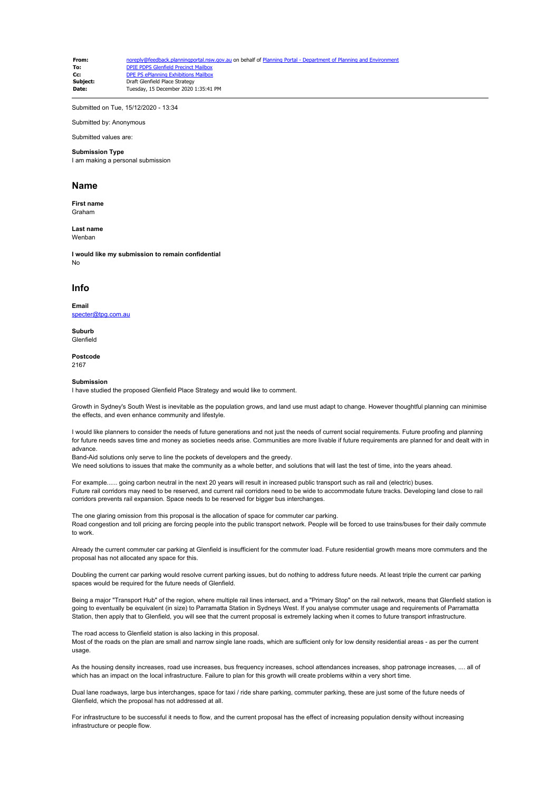**From:** [noreply@feedback.planningportal.nsw.gov.au](mailto:noreply@feedback.planningportal.nsw.gov.au) on behalf of Planning Portal - Department of Planning and En **To:** [DPIE PDPS Glenfield Precinct Mailbox](mailto:glenfield.precinct@planning.nsw.gov.au)<br> **CC:** DPF PS ePlanning Exhibitions Mailbox **Cc:** [DPE PS ePlanning Exhibitions Mailbox](mailto:eplanning.exhibitions@planning.nsw.gov.au)<br>
Subject: Draft Glenfield Place Strategy **Subject:** Draft Glenfield Place Strategy<br>
Date: Tuesday, 15 December 2020 **Date:** Tuesday, 15 December 2020 1:35:41 PM

Submitted on Tue, 15/12/2020 - 13:34

Submitted by: Anonymous

Submitted values are:

#### **Submission Type**

I am making a personal submission

### **Name**

**First name** Graham

**Last name** Wenbar

**I would like my submission to remain confidential** No

## **Info**

**Email** [specter@tpg.com.au](mailto:specter@tpg.com.au)

**Suburb** Glenfield

**Postcode**

2167

### **Submission**

I have studied the proposed Glenfield Place Strategy and would like to comment.

Growth in Sydney's South West is inevitable as the population grows, and land use must adapt to change. However thoughtful planning can minimise the effects, and even enhance community and lifestyle.

I would like planners to consider the needs of future generations and not just the needs of current social requirements. Future proofing and planning for future needs saves time and money as societies needs arise. Communities are more livable if future requirements are planned for and dealt with in advance.

Band-Aid solutions only serve to line the pockets of developers and the greedy.

We need solutions to issues that make the community as a whole better, and solutions that will last the test of time, into the years ahead.

For example...... going carbon neutral in the next 20 years will result in increased public transport such as rail and (electric) buses. Future rail corridors may need to be reserved, and current rail corridors need to be wide to accommodate future tracks. Developing land close to rail corridors prevents rail expansion. Space needs to be reserved for bigger bus interchanges.

The one glaring omission from this proposal is the allocation of space for commuter car parking. Road congestion and toll pricing are forcing people into the public transport network. People will be forced to use trains/buses for their daily commute to work.

Already the current commuter car parking at Glenfield is insufficient for the commuter load. Future residential growth means more commuters and the proposal has not allocated any space for this.

Doubling the current car parking would resolve current parking issues, but do nothing to address future needs. At least triple the current car parking spaces would be required for the future needs of Glenfield.

Being a major "Transport Hub" of the region, where multiple rail lines intersect, and a "Primary Stop" on the rail network, means that Glenfield station is going to eventually be equivalent (in size) to Parramatta Station in Sydneys West. If you analyse commuter usage and requirements of Parramatta Station, then apply that to Glenfield, you will see that the current proposal is extremely lacking when it comes to future transport infrastructure.

The road access to Glenfield station is also lacking in this proposal. Most of the roads on the plan are small and narrow single lane roads, which are sufficient only for low density residential areas - as per the current usage.

As the housing density increases, road use increases, bus frequency increases, school attendances increases, shop patronage increases, .... all of which has an impact on the local infrastructure. Failure to plan for this growth will create problems within a very short time.

Dual lane roadways, large bus interchanges, space for taxi / ride share parking, commuter parking, these are just some of the future needs of Glenfield, which the proposal has not addressed at all.

For infrastructure to be successful it needs to flow, and the current proposal has the effect of increasing population density without increasing infrastructure or people flow.